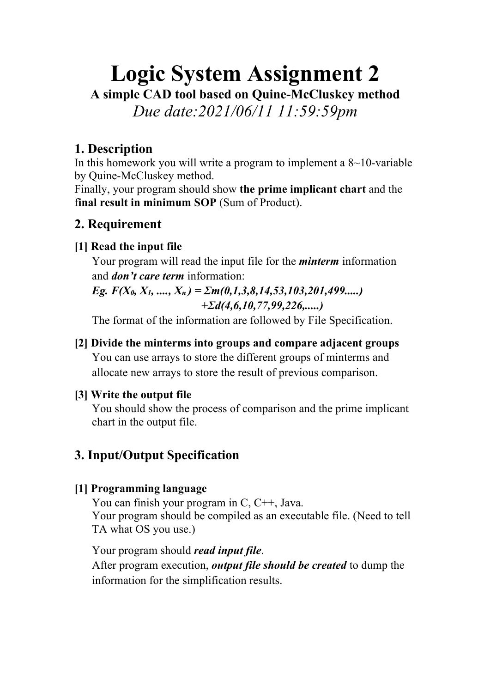# **Logic System Assignment 2**

**A simple CAD tool based on Quine-McCluskey method**

*Due date:2021/06/11 11:59:59pm*

#### **1. Description**

In this homework you will write a program to implement a  $8 \sim 10$ -variable by Quine-McCluskey method.

Finally, your program should show **the prime implicant chart** and the f**inal result in minimum SOP** (Sum of Product).

#### **2. Requirement**

#### **[1] Read the input file**

Your program will read the input file for the *minterm* information and *don't care term* information:

*Eg. F(X0, X1, ...., Xn ) = Σm(0,1,3,8,14,53,103,201,499.....) +Σd(4,6,10,77,99,226,.....)* 

The format of the information are followed by File Specification.

#### **[2] Divide the minterms into groups and compare adjacent groups**

You can use arrays to store the different groups of minterms and allocate new arrays to store the result of previous comparison.

#### **[3] Write the output file**

You should show the process of comparison and the prime implicant chart in the output file.

## **3. Input/Output Specification**

#### **[1] Programming language**

You can finish your program in C, C++, Java. Your program should be compiled as an executable file. (Need to tell TA what OS you use.)

Your program should *read input file*.

After program execution, *output file should be created* to dump the information for the simplification results.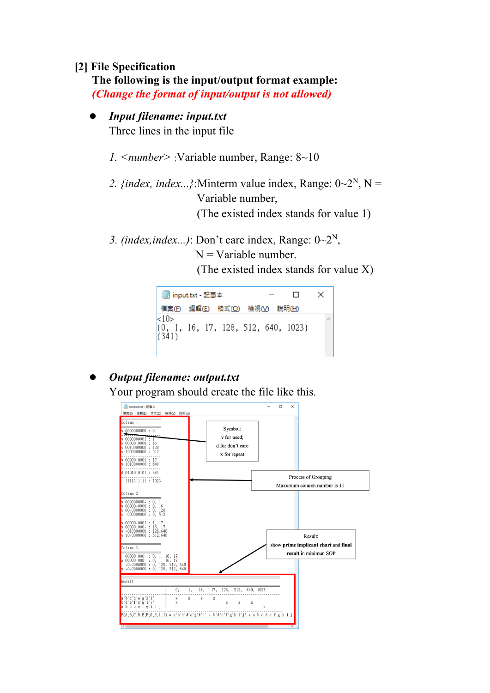#### **[2] File Specification**

**The following is the input/output format example:** *(Change the format of input/output is not allowed)* 

#### l *Input filename: input.txt*

Three lines in the input file

- *1. <number>* :Variable number, Range: 8~10
- 2. {index, index...}:Minterm value index, Range:  $0\sim 2^N$ , N = Variable number, (The existed index stands for value 1)
- 3. (index, index...): Don't care index, Range:  $0\sim 2^N$ ,

 $N =$ Variable number.

(The existed index stands for value X)



# l *Output filename: output.txt*

Your program should create the file like this.